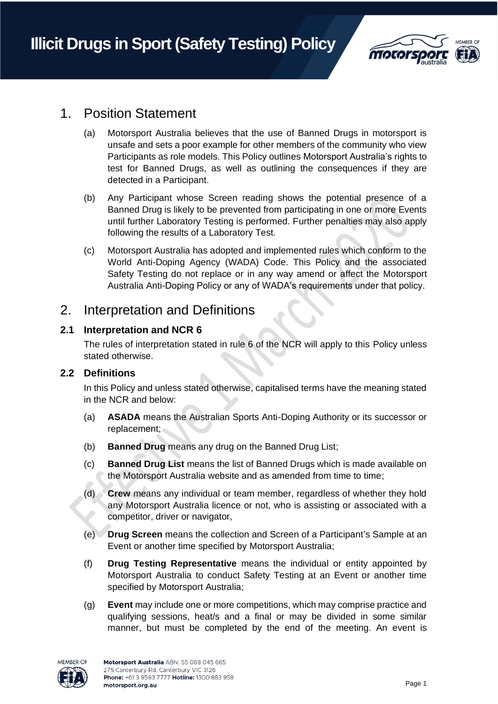

# 1. Position Statement

- (a) Motorsport Australia believes that the use of Banned Drugs in motorsport is unsafe and sets a poor example for other members of the community who view Participants as role models. This Policy outlines Motorsport Australia's rights to test for Banned Drugs, as well as outlining the consequences if they are detected in a Participant.
- (b) Any Participant whose Screen reading shows the potential presence of a Banned Drug is likely to be prevented from participating in one or more Events until further Laboratory Testing is performed. Further penalties may also apply following the results of a Laboratory Test.
- (c) Motorsport Australia has adopted and implemented rules which conform to the World Anti-Doping Agency (WADA) Code. This Policy and the associated Safety Testing do not replace or in any way amend or affect the Motorsport Australia Anti-Doping Policy or any of WADA's requirements under that policy.

## 2. Interpretation and Definitions

### **2.1 Interpretation and NCR 6**

The rules of interpretation stated in rule 6 of the NCR will apply to this Policy unless stated otherwise.

### **2.2 Definitions**

In this Policy and unless stated otherwise, capitalised terms have the meaning stated in the NCR and below:

- (a) **ASADA** means the Australian Sports Anti-Doping Authority or its successor or replacement;
- (b) **Banned Drug** means any drug on the Banned Drug List;
- (c) **Banned Drug List** means the list of Banned Drugs which is made available on the Motorsport Australia website and as amended from time to time;
- (d) **Crew** means any individual or team member, regardless of whether they hold any Motorsport Australia licence or not, who is assisting or associated with a competitor, driver or navigator,
- (e) **Drug Screen** means the collection and Screen of a Participant's Sample at an Event or another time specified by Motorsport Australia;
- (f) **Drug Testing Representative** means the individual or entity appointed by Motorsport Australia to conduct Safety Testing at an Event or another time specified by Motorsport Australia;
- (g) **Event** may include one or more competitions, which may comprise practice and qualifying sessions, heat/s and a final or may be divided in some similar manner, but must be completed by the end of the meeting. An event is

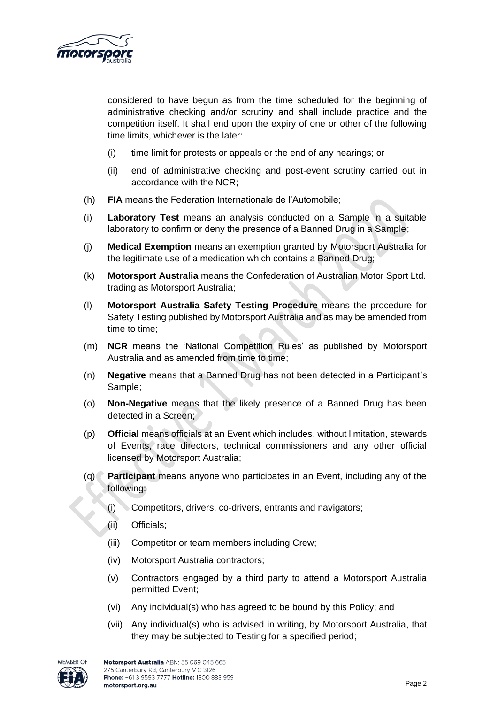

considered to have begun as from the time scheduled for the beginning of administrative checking and/or scrutiny and shall include practice and the competition itself. It shall end upon the expiry of one or other of the following time limits, whichever is the later:

- (i) time limit for protests or appeals or the end of any hearings; or
- (ii) end of administrative checking and post-event scrutiny carried out in accordance with the NCR;
- (h) **FIA** means the Federation Internationale de l'Automobile;
- (i) **Laboratory Test** means an analysis conducted on a Sample in a suitable laboratory to confirm or deny the presence of a Banned Drug in a Sample;
- (j) **Medical Exemption** means an exemption granted by Motorsport Australia for the legitimate use of a medication which contains a Banned Drug;
- (k) **Motorsport Australia** means the Confederation of Australian Motor Sport Ltd. trading as Motorsport Australia;
- (l) **Motorsport Australia Safety Testing Procedure** means the procedure for Safety Testing published by Motorsport Australia and as may be amended from time to time;
- (m) **NCR** means the 'National Competition Rules' as published by Motorsport Australia and as amended from time to time;
- (n) **Negative** means that a Banned Drug has not been detected in a Participant's Sample;
- (o) **Non-Negative** means that the likely presence of a Banned Drug has been detected in a Screen;
- (p) **Official** means officials at an Event which includes, without limitation, stewards of Events, race directors, technical commissioners and any other official licensed by Motorsport Australia;
- (q) **Participant** means anyone who participates in an Event, including any of the following:
	- (i) Competitors, drivers, co-drivers, entrants and navigators;
	- (ii) Officials;
	- (iii) Competitor or team members including Crew;
	- (iv) Motorsport Australia contractors;
	- (v) Contractors engaged by a third party to attend a Motorsport Australia permitted Event;
	- (vi) Any individual(s) who has agreed to be bound by this Policy; and
	- (vii) Any individual(s) who is advised in writing, by Motorsport Australia, that they may be subjected to Testing for a specified period;

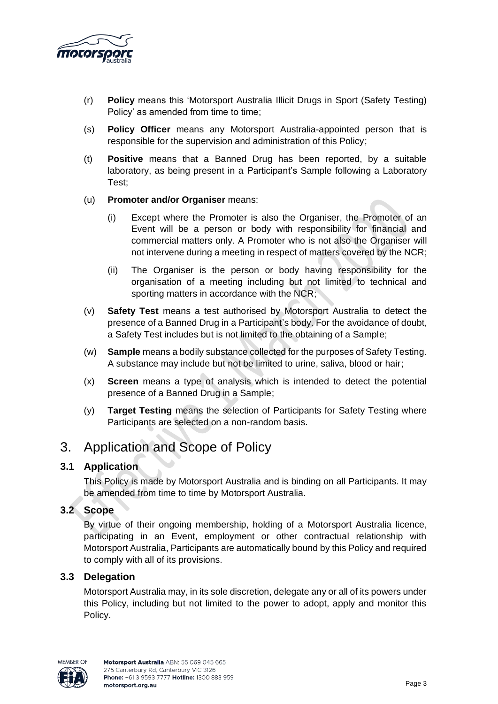

- (r) **Policy** means this 'Motorsport Australia Illicit Drugs in Sport (Safety Testing) Policy' as amended from time to time;
- (s) **Policy Officer** means any Motorsport Australia-appointed person that is responsible for the supervision and administration of this Policy;
- (t) **Positive** means that a Banned Drug has been reported, by a suitable laboratory, as being present in a Participant's Sample following a Laboratory Test;
- (u) **Promoter and/or Organiser** means:
	- (i) Except where the Promoter is also the Organiser, the Promoter of an Event will be a person or body with responsibility for financial and commercial matters only. A Promoter who is not also the Organiser will not intervene during a meeting in respect of matters covered by the NCR;
	- (ii) The Organiser is the person or body having responsibility for the organisation of a meeting including but not limited to technical and sporting matters in accordance with the NCR;
- (v) **Safety Test** means a test authorised by Motorsport Australia to detect the presence of a Banned Drug in a Participant's body. For the avoidance of doubt, a Safety Test includes but is not limited to the obtaining of a Sample;
- (w) **Sample** means a bodily substance collected for the purposes of Safety Testing. A substance may include but not be limited to urine, saliva, blood or hair;
- (x) **Screen** means a type of analysis which is intended to detect the potential presence of a Banned Drug in a Sample;
- (y) **Target Testing** means the selection of Participants for Safety Testing where Participants are selected on a non-random basis.

# 3. Application and Scope of Policy

### **3.1 Application**

This Policy is made by Motorsport Australia and is binding on all Participants. It may be amended from time to time by Motorsport Australia.

### **3.2 Scope**

By virtue of their ongoing membership, holding of a Motorsport Australia licence, participating in an Event, employment or other contractual relationship with Motorsport Australia, Participants are automatically bound by this Policy and required to comply with all of its provisions.

### **3.3 Delegation**

Motorsport Australia may, in its sole discretion, delegate any or all of its powers under this Policy, including but not limited to the power to adopt, apply and monitor this Policy.

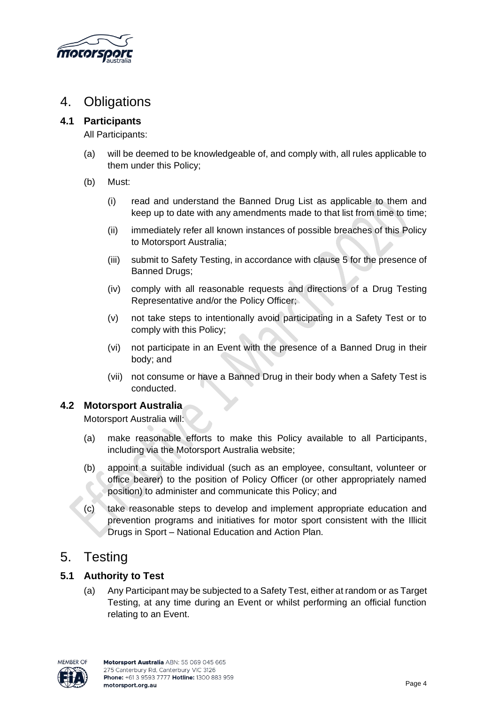

# 4. Obligations

### **4.1 Participants**

All Participants:

- (a) will be deemed to be knowledgeable of, and comply with, all rules applicable to them under this Policy;
- (b) Must:
	- (i) read and understand the Banned Drug List as applicable to them and keep up to date with any amendments made to that list from time to time;
	- (ii) immediately refer all known instances of possible breaches of this Policy to Motorsport Australia;
	- (iii) submit to Safety Testing, in accordance with clause 5 for the presence of Banned Drugs;
	- (iv) comply with all reasonable requests and directions of a Drug Testing Representative and/or the Policy Officer;
	- (v) not take steps to intentionally avoid participating in a Safety Test or to comply with this Policy;
	- (vi) not participate in an Event with the presence of a Banned Drug in their body; and
	- (vii) not consume or have a Banned Drug in their body when a Safety Test is conducted.

### **4.2 Motorsport Australia**

Motorsport Australia will:

- (a) make reasonable efforts to make this Policy available to all Participants, including via the Motorsport Australia website;
- (b) appoint a suitable individual (such as an employee, consultant, volunteer or office bearer) to the position of Policy Officer (or other appropriately named position) to administer and communicate this Policy; and
- (c) take reasonable steps to develop and implement appropriate education and prevention programs and initiatives for motor sport consistent with the Illicit Drugs in Sport – National Education and Action Plan.

# 5. Testing

### **5.1 Authority to Test**

(a) Any Participant may be subjected to a Safety Test, either at random or as Target Testing, at any time during an Event or whilst performing an official function relating to an Event.

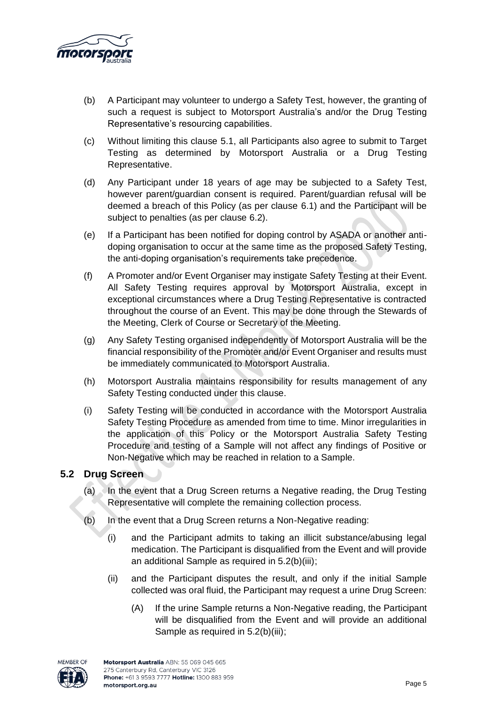

- (b) A Participant may volunteer to undergo a Safety Test, however, the granting of such a request is subject to Motorsport Australia's and/or the Drug Testing Representative's resourcing capabilities.
- (c) Without limiting this clause 5.1, all Participants also agree to submit to Target Testing as determined by Motorsport Australia or a Drug Testing Representative.
- (d) Any Participant under 18 years of age may be subjected to a Safety Test, however parent/guardian consent is required. Parent/guardian refusal will be deemed a breach of this Policy (as per clause 6.1) and the Participant will be subject to penalties (as per clause 6.2).
- (e) If a Participant has been notified for doping control by ASADA or another antidoping organisation to occur at the same time as the proposed Safety Testing, the anti-doping organisation's requirements take precedence.
- (f) A Promoter and/or Event Organiser may instigate Safety Testing at their Event. All Safety Testing requires approval by Motorsport Australia, except in exceptional circumstances where a Drug Testing Representative is contracted throughout the course of an Event. This may be done through the Stewards of the Meeting, Clerk of Course or Secretary of the Meeting.
- (g) Any Safety Testing organised independently of Motorsport Australia will be the financial responsibility of the Promoter and/or Event Organiser and results must be immediately communicated to Motorsport Australia.
- (h) Motorsport Australia maintains responsibility for results management of any Safety Testing conducted under this clause.
- (i) Safety Testing will be conducted in accordance with the Motorsport Australia Safety Testing Procedure as amended from time to time. Minor irregularities in the application of this Policy or the Motorsport Australia Safety Testing Procedure and testing of a Sample will not affect any findings of Positive or Non-Negative which may be reached in relation to a Sample.

### **5.2 Drug Screen**

- (a) In the event that a Drug Screen returns a Negative reading, the Drug Testing Representative will complete the remaining collection process.
- (b) In the event that a Drug Screen returns a Non-Negative reading:
	- (i) and the Participant admits to taking an illicit substance/abusing legal medication. The Participant is disqualified from the Event and will provide an additional Sample as required in 5.2(b)(iii);
	- (ii) and the Participant disputes the result, and only if the initial Sample collected was oral fluid, the Participant may request a urine Drug Screen:
		- (A) If the urine Sample returns a Non-Negative reading, the Participant will be disqualified from the Event and will provide an additional Sample as required in 5.2(b)(iii);

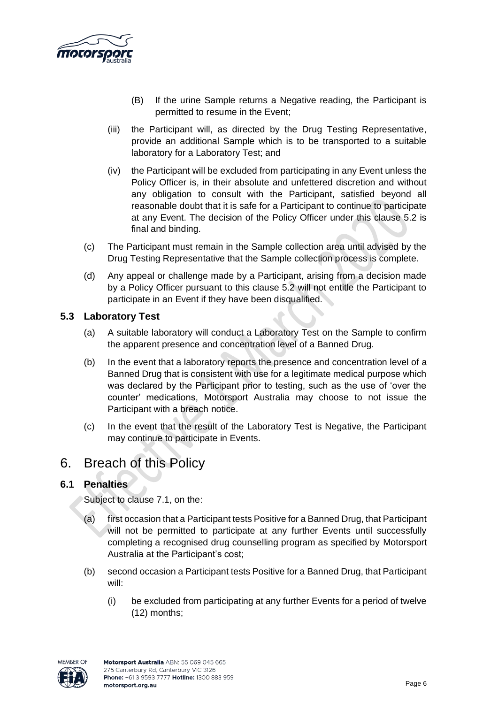

- (B) If the urine Sample returns a Negative reading, the Participant is permitted to resume in the Event;
- (iii) the Participant will, as directed by the Drug Testing Representative, provide an additional Sample which is to be transported to a suitable laboratory for a Laboratory Test; and
- (iv) the Participant will be excluded from participating in any Event unless the Policy Officer is, in their absolute and unfettered discretion and without any obligation to consult with the Participant, satisfied beyond all reasonable doubt that it is safe for a Participant to continue to participate at any Event. The decision of the Policy Officer under this clause 5.2 is final and binding.
- (c) The Participant must remain in the Sample collection area until advised by the Drug Testing Representative that the Sample collection process is complete.
- (d) Any appeal or challenge made by a Participant, arising from a decision made by a Policy Officer pursuant to this clause 5.2 will not entitle the Participant to participate in an Event if they have been disqualified.

### **5.3 Laboratory Test**

- (a) A suitable laboratory will conduct a Laboratory Test on the Sample to confirm the apparent presence and concentration level of a Banned Drug.
- (b) In the event that a laboratory reports the presence and concentration level of a Banned Drug that is consistent with use for a legitimate medical purpose which was declared by the Participant prior to testing, such as the use of 'over the counter' medications, Motorsport Australia may choose to not issue the Participant with a breach notice.
- (c) In the event that the result of the Laboratory Test is Negative, the Participant may continue to participate in Events.

# 6. Breach of this Policy

### **6.1 Penalties**

Subject to clause 7.1, on the:

- (a) first occasion that a Participant tests Positive for a Banned Drug, that Participant will not be permitted to participate at any further Events until successfully completing a recognised drug counselling program as specified by Motorsport Australia at the Participant's cost;
- (b) second occasion a Participant tests Positive for a Banned Drug, that Participant will:
	- (i) be excluded from participating at any further Events for a period of twelve (12) months;

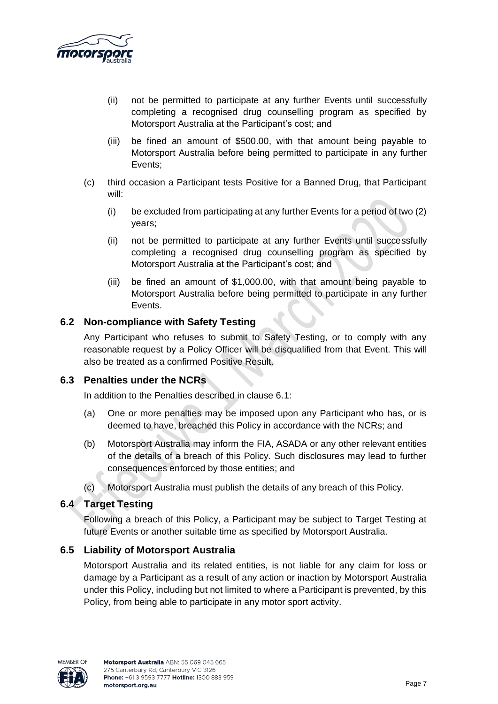

- (ii) not be permitted to participate at any further Events until successfully completing a recognised drug counselling program as specified by Motorsport Australia at the Participant's cost; and
- (iii) be fined an amount of \$500.00, with that amount being payable to Motorsport Australia before being permitted to participate in any further Events;
- (c) third occasion a Participant tests Positive for a Banned Drug, that Participant will:
	- (i) be excluded from participating at any further Events for a period of two (2) years;
	- (ii) not be permitted to participate at any further Events until successfully completing a recognised drug counselling program as specified by Motorsport Australia at the Participant's cost; and
	- (iii) be fined an amount of \$1,000.00, with that amount being payable to Motorsport Australia before being permitted to participate in any further Events.

### **6.2 Non-compliance with Safety Testing**

Any Participant who refuses to submit to Safety Testing, or to comply with any reasonable request by a Policy Officer will be disqualified from that Event. This will also be treated as a confirmed Positive Result.

### **6.3 Penalties under the NCRs**

In addition to the Penalties described in clause 6.1:

- (a) One or more penalties may be imposed upon any Participant who has, or is deemed to have, breached this Policy in accordance with the NCRs; and
- (b) Motorsport Australia may inform the FIA, ASADA or any other relevant entities of the details of a breach of this Policy. Such disclosures may lead to further consequences enforced by those entities; and
- (c) Motorsport Australia must publish the details of any breach of this Policy.

### **6.4 Target Testing**

Following a breach of this Policy, a Participant may be subject to Target Testing at future Events or another suitable time as specified by Motorsport Australia.

### **6.5 Liability of Motorsport Australia**

Motorsport Australia and its related entities, is not liable for any claim for loss or damage by a Participant as a result of any action or inaction by Motorsport Australia under this Policy, including but not limited to where a Participant is prevented, by this Policy, from being able to participate in any motor sport activity.

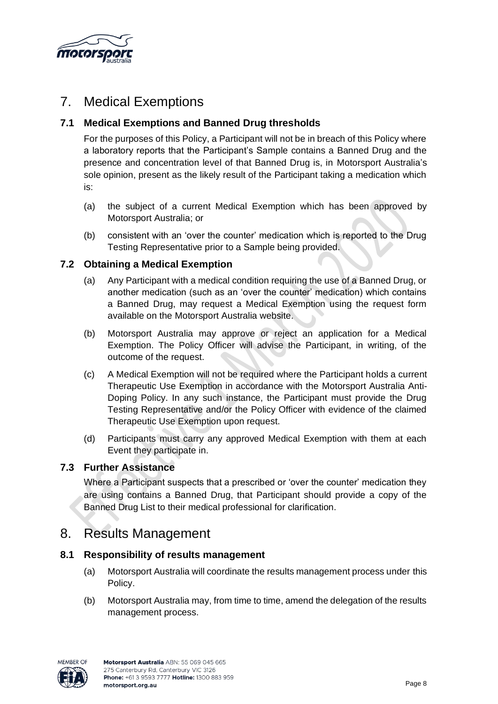

# 7. Medical Exemptions

## **7.1 Medical Exemptions and Banned Drug thresholds**

For the purposes of this Policy, a Participant will not be in breach of this Policy where a laboratory reports that the Participant's Sample contains a Banned Drug and the presence and concentration level of that Banned Drug is, in Motorsport Australia's sole opinion, present as the likely result of the Participant taking a medication which is:

- (a) the subject of a current Medical Exemption which has been approved by Motorsport Australia; or
- (b) consistent with an 'over the counter' medication which is reported to the Drug Testing Representative prior to a Sample being provided.

### **7.2 Obtaining a Medical Exemption**

- (a) Any Participant with a medical condition requiring the use of a Banned Drug, or another medication (such as an 'over the counter' medication) which contains a Banned Drug, may request a Medical Exemption using the request form available on the Motorsport Australia website.
- (b) Motorsport Australia may approve or reject an application for a Medical Exemption. The Policy Officer will advise the Participant, in writing, of the outcome of the request.
- (c) A Medical Exemption will not be required where the Participant holds a current Therapeutic Use Exemption in accordance with the Motorsport Australia Anti-Doping Policy. In any such instance, the Participant must provide the Drug Testing Representative and/or the Policy Officer with evidence of the claimed Therapeutic Use Exemption upon request.
- (d) Participants must carry any approved Medical Exemption with them at each Event they participate in.

### **7.3 Further Assistance**

Where a Participant suspects that a prescribed or 'over the counter' medication they are using contains a Banned Drug, that Participant should provide a copy of the Banned Drug List to their medical professional for clarification.

# 8. Results Management

### **8.1 Responsibility of results management**

- (a) Motorsport Australia will coordinate the results management process under this Policy.
- (b) Motorsport Australia may, from time to time, amend the delegation of the results management process.